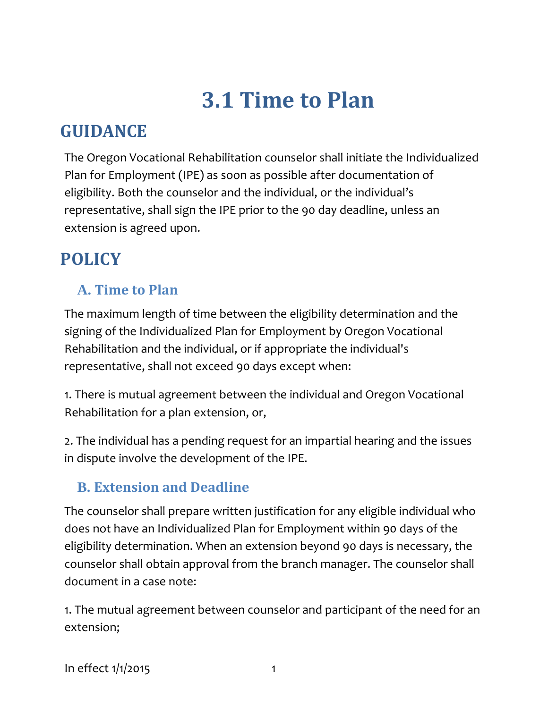# **3.1 Time to Plan**

## **GUIDANCE**

The Oregon Vocational Rehabilitation counselor shall initiate the Individualized Plan for Employment (IPE) as soon as possible after documentation of eligibility. Both the counselor and the individual, or the individual's representative, shall sign the IPE prior to the 90 day deadline, unless an extension is agreed upon.

## **POLICY**

#### **A. Time to Plan**

The maximum length of time between the eligibility determination and the signing of the Individualized Plan for Employment by Oregon Vocational Rehabilitation and the individual, or if appropriate the individual's representative, shall not exceed 90 days except when:

1. There is mutual agreement between the individual and Oregon Vocational Rehabilitation for a plan extension, or,

2. The individual has a pending request for an impartial hearing and the issues in dispute involve the development of the IPE.

#### **B. Extension and Deadline**

The counselor shall prepare written justification for any eligible individual who does not have an Individualized Plan for Employment within 90 days of the eligibility determination. When an extension beyond 90 days is necessary, the counselor shall obtain approval from the branch manager. The counselor shall document in a case note:

1. The mutual agreement between counselor and participant of the need for an extension;